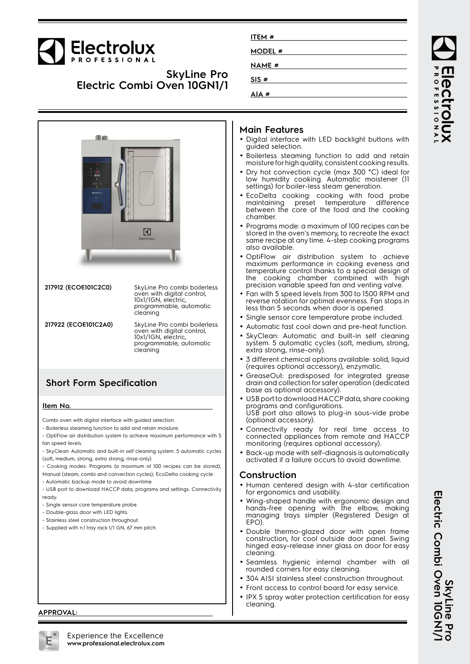# Electrolux

### **SkyLine Pro Electric Combi Oven 10GN1/1**

| ITEM #        |  |  |
|---------------|--|--|
| MODEL #       |  |  |
| <b>NAME</b> # |  |  |
| SIS#          |  |  |
| AIA#          |  |  |
|               |  |  |



- ready
- Single sensor core temperature probe.
- Double-glass door with LED lights.
- Stainless steel construction throughout.
- Supplied with n.1 tray rack 1/1 GN, 67 mm pitch.

### **Main Features**

- Digital interface with LED backlight buttons with guided selection.
- Boilerless steaming function to add and retain moisture for high quality, consistent cooking results.
- • Dry hot convection cycle (max 300 °C) ideal for low humidity cooking. Automatic moistener (11 settings) for boiler-less steam generation.
- EcoDelta cooking: cooking with food probe maintaining preset temperature difference between the core of the food and the cooking chamber.
- • Programs mode: a maximum of 100 recipes can be stored in the oven's memory, to recreate the exact same recipe at any time. 4-step cooking programs also available.
- • OptiFlow air distribution system to achieve maximum performance in cooking eveness and temperature control thanks to a special design of the cooking chamber combined with high precision variable speed fan and venting valve.
- Fan with 5 speed levels from 300 to 1500 RPM and reverse rotation for optimal evenness. Fan stops in less than 5 seconds when door is opened.
- Single sensor core temperature probe included.
- •Automatic fast cool down and pre-heat function.
- • SkyClean: Automatic and built-in self cleaning system. 5 automatic cycles (soft, medium, strong, extra strong, rinse-only).
- • 3 different chemical options available: solid, liquid (requires optional accessory), enzymatic.
- • GreaseOut: predisposed for integrated grease drain and collection for safer operation (dedicated base as optional accessory).
- USB port to download HACCP data, share cooking programs and configurations. USB port also allows to plug-in sous-vide probe (optional accessory).
- • Connectivity ready for real time access to connected appliances from remote and HACCP monitoring (requires optional accessory).
- Back-up mode with self-diagnosis is automatically activated if a failure occurs to avoid downtime.

### **Construction**

- Human centered design with 4-star certification for ergonomics and usability.
- Wing-shaped handle with ergonomic design and hands-free opening with the elbow, making managing trays simpler (Registered Design at EPO).
- Double thermo-glazed door with open frame construction, for cool outside door panel. Swing hinged easy-release inner glass on door for easy cleaning.
- • Seamless hygienic internal chamber with all rounded corners for easy cleaning.
- •304 AISI stainless steel construction throughout.
- Front access to control board for easy service.
- • IPX 5 spray water protection certification for easy cleaning.

### **APPROVAL:**

**SkyLine P<br>Electric Combi Oven 10GN Electric Combi Oven 10GN1/1 SkyLine Pro**

ROFESSIONA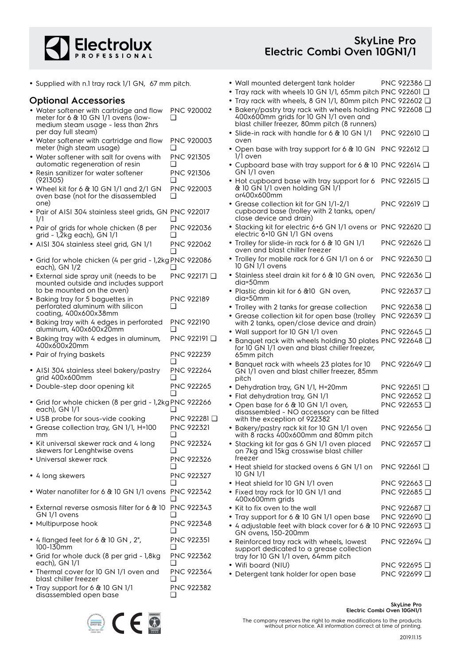

• Wall mounted detergent tank holder PNC 922386 ❑ • Tray rack with wheels 10 GN 1/1, 65mm pitch PNC 922601 ❑

• Supplied with n.1 tray rack 1/1 GN, 67 mm pitch.

### **Optional Accessories**

| <b>Optional Accessories</b>                                                                                            |                                          | • Tray rack with wheels, 8 GN 1/1, 80mm pitch PNC 922602 □                                                                                            |                              |
|------------------------------------------------------------------------------------------------------------------------|------------------------------------------|-------------------------------------------------------------------------------------------------------------------------------------------------------|------------------------------|
| • Water softener with cartridge and flow<br>meter for 6 & 10 GN 1/1 ovens (low-<br>medium steam usage - less than 2hrs | PNC 920002<br>❏                          | • Bakery/pastry tray rack with wheels holding PNC 922608 Q<br>400x600mm grids for 10 GN 1/1 oven and<br>blast chiller freezer, 80mm pitch (8 runners) |                              |
| per day full steam)                                                                                                    |                                          | • Slide-in rack with handle for 6 & 10 GN 1/1<br>oven                                                                                                 | PNC 922610 <b>□</b>          |
| • Water softener with cartridge and flow<br>meter (high steam usage)                                                   | PNC 920003                               | • Open base with tray support for 6 & 10 GN PNC 922612 Q<br>1/1 oven                                                                                  |                              |
| • Water softener with salt for ovens with<br>automatic regeneration of resin                                           | PNC 921305                               | • Cupboard base with tray support for 6 & 10 PNC 922614 $\square$<br>GN 1/1 oven                                                                      |                              |
| • Resin sanitizer for water softener<br>(921305)                                                                       | PNC 921306                               | • Hot cupboard base with tray support for 6 PNC 922615 $\Box$                                                                                         |                              |
| • Wheel kit for 6 $&$ 10 GN 1/1 and 2/1 GN<br>oven base (not for the disassembled<br>one)                              | PNC 922003                               | & 10 GN 1/1 oven holding GN 1/1<br>or400x600mm<br>• Grease collection kit for GN 1/1-2/1                                                              | PNC 922619 □                 |
| · Pair of AISI 304 stainless steel grids, GN PNC 922017<br>$\frac{1}{1}$                                               |                                          | cupboard base (trolley with 2 tanks, open/<br>close device and drain)                                                                                 |                              |
| • Pair of grids for whole chicken (8 per<br>grid - 1,2kg each), GN 1/1                                                 | PNC 922036                               | • Stacking kit for electric 6+6 GN 1/1 ovens or PNC 922620 Q<br>electric 6+10 GN 1/1 GN ovens                                                         |                              |
| • AISI 304 stainless steel grid, GN 1/1                                                                                | <b>PNC 922062</b>                        | · Trolley for slide-in rack for 6 & 10 GN 1/1<br>oven and blast chiller freezer                                                                       | PNC 922626 □                 |
| · Grid for whole chicken (4 per grid - 1,2kg PNC 922086<br>each), GN 1/2                                               |                                          | • Trolley for mobile rack for 6 GN 1/1 on 6 or<br>10 GN 1/1 ovens                                                                                     | PNC 922630 □                 |
| • External side spray unit (needs to be<br>mounted outside and includes support                                        | PNC 922171 Q                             | • Stainless steel drain kit for 6 & 10 GN oven,<br>dia=50mm                                                                                           | PNC 922636 □                 |
| to be mounted on the oven)<br>• Baking tray for 5 baguettes in                                                         | <b>PNC 922189</b>                        | • Plastic drain kit for 6 & 10 GN oven,<br>dia=50mm                                                                                                   | PNC 922637                   |
| perforated aluminum with silicon<br>coating, 400x600x38mm                                                              | ❏                                        | • Trolley with 2 tanks for grease collection<br>• Grease collection kit for open base (trolley                                                        | PNC 922638 □<br>PNC 922639 □ |
| • Baking tray with 4 edges in perforated<br>aluminum, 400x600x20mm                                                     | <b>PNC 922190</b>                        | with 2 tanks, open/close device and drain)<br>• Wall support for 10 GN 1/1 oven                                                                       | PNC 922645 □                 |
| · Baking tray with 4 edges in aluminum,<br>400x600x20mm                                                                | PNC 922191 □                             | • Banquet rack with wheels holding 30 plates PNC 922648 0<br>for 10 GN 1/1 oven and blast chiller freezer,                                            |                              |
| • Pair of frying baskets                                                                                               | PNC 922239                               | 65mm pitch                                                                                                                                            |                              |
| • AISI 304 stainless steel bakery/pastry<br>grid 400x600mm                                                             | <b>PNC 922264</b>                        | • Banquet rack with wheels 23 plates for 10<br>GN 1/1 oven and blast chiller freezer, 85mm<br>pitch                                                   | PNC 922649 □                 |
| • Double-step door opening kit                                                                                         | PNC 922265                               | • Dehydration tray, GN 1/1, H=20mm                                                                                                                    | PNC 922651 <b>□</b>          |
| • Grid for whole chicken (8 per grid - 1,2kg PNC 922266                                                                |                                          | • Flat dehydration tray, GN 1/1<br>• Open base for 6 & 10 GN 1/1 oven,                                                                                | PNC 922652 □<br>PNC 922653   |
| each), GN 1/1                                                                                                          |                                          | disassembled - NO accessory can be fitted                                                                                                             |                              |
| • USB probe for sous-vide cooking<br>• Grease collection tray, GN 1/1, H=100                                           | PNC 922281 <b>□</b><br><b>PNC 922321</b> | with the exception of 922382<br>• Bakery/pastry rack kit for 10 GN 1/1 oven                                                                           | PNC 922656 □                 |
| mm<br>• Kit universal skewer rack and 4 long<br>skewers for Lenghtwise ovens                                           | <b>PNC 922324</b>                        | with 8 racks 400x600mm and 80mm pitch<br>· Stacking kit for gas 6 GN 1/1 oven placed                                                                  | PNC 922657                   |
| • Universal skewer rack                                                                                                | PNC 922326<br>$\mathbf{1}$               | on 7kg and 15kg crosswise blast chiller<br>freezer                                                                                                    |                              |
| • 4 long skewers                                                                                                       | PNC 922327                               | • Heat shield for stacked ovens 6 GN 1/1 on<br>10 GN 1/1                                                                                              | PNC 922661 $\Box$            |
| • Water nanofilter for 6 & 10 GN 1/1 ovens PNC 922342                                                                  |                                          | • Heat shield for 10 GN 1/1 oven<br>• Fixed tray rack for 10 GN 1/1 and                                                                               | PNC 922663 □<br>PNC 922685 □ |
|                                                                                                                        |                                          | 400x600mm grids                                                                                                                                       |                              |
| • External reverse osmosis filter for 6 & 10 PNC 922343<br>GN 1/1 ovens                                                |                                          | • Kit to fix oven to the wall                                                                                                                         | PNC 922687 □<br>PNC 922690 □ |
| · Multipurpose hook                                                                                                    | PNC 922348                               | • Tray support for 6 & 10 GN 1/1 open base<br>● 4 adjustable feet with black cover for 6 & 10 PNC 922693 Q<br>GN ovens, 150-200mm                     |                              |
| • 4 flanged feet for 6 $\&$ 10 GN, 2",<br>100-130mm                                                                    | <b>PNC 922351</b><br>ப                   | • Reinforced tray rack with wheels, lowest<br>support dedicated to a grease collection                                                                | PNC 922694 □                 |
| • Grid for whole duck (8 per grid - 1,8kg                                                                              | PNC 922362                               | tray for 10 GN 1/1 oven, 64mm pitch                                                                                                                   |                              |
| each), GN 1/1<br>• Thermal cover for 10 GN 1/1 oven and                                                                | PNC 922364                               | • Wifi board (NIU)                                                                                                                                    | PNC 922695 □                 |
| blast chiller freezer                                                                                                  | ப                                        | • Detergent tank holder for open base                                                                                                                 | PNC 922699 □                 |
| • Tray support for 6 & 10 GN 1/1<br>disassembled open base                                                             | PNC 922382<br>❏                          |                                                                                                                                                       |                              |

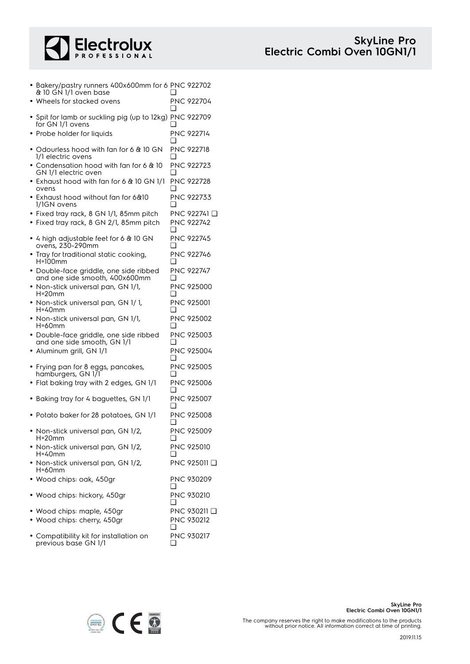

| • Bakery/pastry runners 400x600mm for 6 PNC 922702<br>& 10 GN 1/1 oven base<br>• Wheels for stacked ovens |     | <b>PNC 922704</b>                            |
|-----------------------------------------------------------------------------------------------------------|-----|----------------------------------------------|
|                                                                                                           | ∩   |                                              |
| · Spit for lamb or suckling pig (up to 12kg) PNC 922709<br>for GN 1/1 ovens                               |     |                                              |
| • Probe holder for liquids                                                                                |     | <b>PNC 922714</b>                            |
| • Odourless hood with fan for 6 & 10 GN<br>1/1 electric ovens                                             | ❏   | <b>PNC 922718</b>                            |
| • Condensation hood with fan for 6 & 10<br>GN 1/1 electric oven                                           |     | PNC 922723                                   |
| $\bullet$ Exhaust hood with fan for 6 & 10 GN 1/1<br>ovens                                                |     | PNC 922728                                   |
| • Exhaust hood without fan for 6&10<br>1/1GN ovens                                                        |     | PNC 922733                                   |
| • Fixed tray rack, 8 GN 1/1, 85mm pitch<br>• Fixed tray rack, 8 GN 2/1, 85mm pitch                        | ❏   | PNC 922741 <del>□</del><br><b>PNC 922742</b> |
| • 4 high adjustable feet for 6 $\&$ 10 GN<br>ovens, 230-290mm                                             | ∣ 1 | <b>PNC 922745</b>                            |
| • Tray for traditional static cooking,<br>H=100mm                                                         |     | <b>PNC 922746</b>                            |
| · Double-face griddle, one side ribbed<br>and one side smooth, 400x600mm                                  | □   | <b>PNC 922747</b>                            |
| • Non-stick universal pan, GN 1/1,<br>$H = 20$ mm                                                         | ❏   | PNC 925000                                   |
| • Non-stick universal pan, GN 1/1,<br>H=40mm                                                              |     | <b>PNC 925001</b>                            |
| • Non-stick universal pan, GN 1/1,<br>H=60mm                                                              | □   | PNC 925002                                   |
| · Double-face griddle, one side ribbed<br>and one side smooth, GN 1/1                                     | □   | PNC 925003                                   |
| · Aluminum grill, GN 1/1                                                                                  | □   | PNC 925004                                   |
| • Frying pan for 8 eggs, pancakes,<br>hamburgers, GN 171                                                  | ∣ 1 | <b>PNC 925005</b>                            |
| • Flat baking tray with 2 edges, GN 1/1                                                                   |     | PNC 925006                                   |
| Baking tray for 4 baguettes, GN 1/1                                                                       |     | PNC 925007                                   |
| • Potato baker for 28 potatoes, GN 1/1                                                                    | ப   | PNC 925008                                   |
| Non-stick universal pan, GN 1/2,<br>H=20mm                                                                | ❏   | PNC 925009                                   |
| · Non-stick universal pan, GN 1/2,<br>H=40mm                                                              | ❏   | PNC 925010                                   |
| · Non-stick universal pan, GN 1/2,<br>$H = 60$ mm                                                         |     | PNC 925011 □                                 |
| · Wood chips: oak, 450gr                                                                                  | ❏   | PNC 930209                                   |
| Wood chips: hickory, 450gr                                                                                | ❏   | PNC 930210                                   |
| · Wood chips: maple, 450gr<br>Wood chips: cherry, 450gr                                                   | ❏   | PNC 930211 □<br>PNC 930212                   |

• Compatibility kit for installation on previous base GN 1/1



PNC 930217

❑